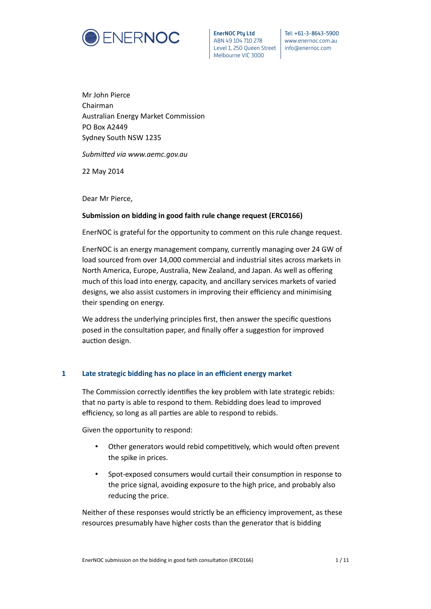

**EnerNOC Pty Ltd** ABN 49 104 710 278 Level 1, 250 Queen Street | info@enernoc.com Melbourne VIC 3000

Tel: +61-3-8643-5900 www.enernoc.com.au

Mr John Pierce Chairman Australian Energy Market Commission PO Box A2449 Sydney South NSW 1235

*Submited via www.aemc.gov.au*

22 May 2014

Dear Mr Pierce,

# **Submission on bidding in good faith rule change request (ERC0166)**

EnerNOC is grateful for the opportunity to comment on this rule change request.

EnerNOC is an energy management company, currently managing over 24 GW of load sourced from over 14,000 commercial and industrial sites across markets in North America, Europe, Australia, New Zealand, and Japan. As well as offering much of this load into energy, capacity, and ancillary services markets of varied designs, we also assist customers in improving their efficiency and minimising their spending on energy.

We address the underlying principles first, then answer the specific questions posed in the consultation paper, and finally offer a suggestion for improved auction design.

# **1 Late strategic bidding has no place in an efficient energy market**

The Commission correctly identifies the key problem with late strategic rebids: that no party is able to respond to them. Rebidding does lead to improved efficiency, so long as all parties are able to respond to rebids.

Given the opportunity to respond:

- Other generators would rebid competitively, which would often prevent the spike in prices.
- Spot-exposed consumers would curtail their consumption in response to the price signal, avoiding exposure to the high price, and probably also reducing the price.

Neither of these responses would strictly be an efficiency improvement, as these resources presumably have higher costs than the generator that is bidding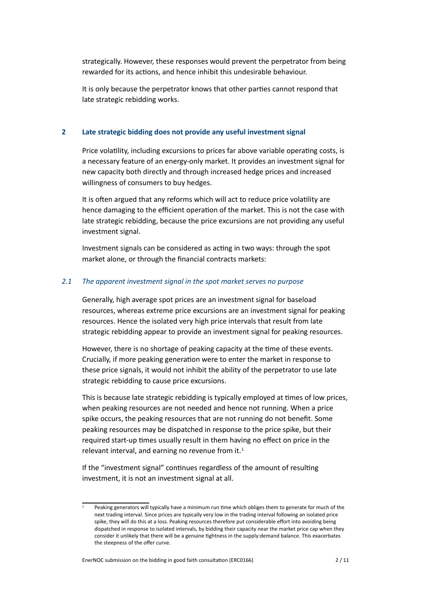strategically. However, these responses would prevent the perpetrator from being rewarded for its actions, and hence inhibit this undesirable behaviour.

It is only because the perpetrator knows that other partes cannot respond that late strategic rebidding works.

#### **2 Late strategic bidding does not provide any useful investment signal**

<span id="page-1-2"></span>Price volatility, including excursions to prices far above variable operating costs, is a necessary feature of an energy-only market. It provides an investment signal for new capacity both directly and through increased hedge prices and increased willingness of consumers to buy hedges.

It is often argued that any reforms which will act to reduce price volatility are hence damaging to the efficient operation of the market. This is not the case with late strategic rebidding, because the price excursions are not providing any useful investment signal.

Investment signals can be considered as acting in two ways: through the spot market alone, or through the fnancial contracts markets:

### *2.1 The apparent investment signal in the spot market serves no purpose*

<span id="page-1-1"></span>Generally, high average spot prices are an investment signal for baseload resources, whereas extreme price excursions are an investment signal for peaking resources. Hence the isolated very high price intervals that result from late strategic rebidding appear to provide an investment signal for peaking resources.

However, there is no shortage of peaking capacity at the time of these events. Crucially, if more peaking generation were to enter the market in response to these price signals, it would not inhibit the ability of the perpetrator to use late strategic rebidding to cause price excursions.

This is because late strategic rebidding is typically employed at tmes of low prices, when peaking resources are not needed and hence not running. When a price spike occurs, the peaking resources that are not running do not beneft. Some peaking resources may be dispatched in response to the price spike, but their required start-up tmes usually result in them having no efect on price in the relevant interval, and earning no revenue from it. $<sup>1</sup>$ </sup>

If the "investment signal" continues regardless of the amount of resulting investment, it is not an investment signal at all.

<span id="page-1-0"></span>Peaking generators will typically have a minimum run time which obliges them to generate for much of the next trading interval. Since prices are typically very low in the trading interval following an isolated price spike, they will do this at a loss. Peaking resources therefore put considerable effort into avoiding being dispatched in response to isolated intervals, by bidding their capacity near the market price cap when they consider it unlikely that there will be a genuine tghtness in the supply:demand balance. This exacerbates the steepness of the offer curve.

EnerNOC submission on the bidding in good faith consultaton (ERC0166) 2 / 11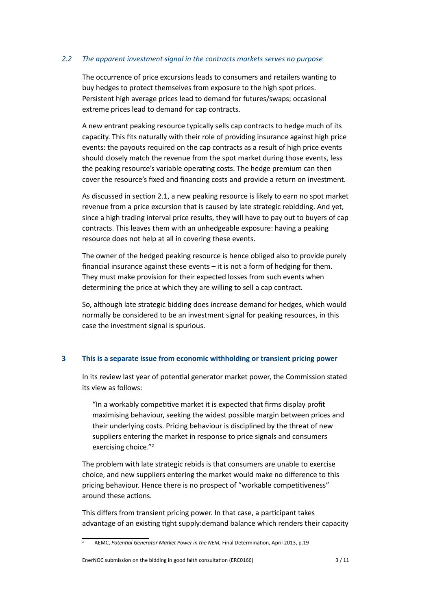# *2.2 The apparent investment signal in the contracts markets serves no purpose*

<span id="page-2-1"></span>The occurrence of price excursions leads to consumers and retailers wantng to buy hedges to protect themselves from exposure to the high spot prices. Persistent high average prices lead to demand for futures/swaps; occasional extreme prices lead to demand for cap contracts.

A new entrant peaking resource typically sells cap contracts to hedge much of its capacity. This fts naturally with their role of providing insurance against high price events: the payouts required on the cap contracts as a result of high price events should closely match the revenue from the spot market during those events, less the peaking resource's variable operating costs. The hedge premium can then cover the resource's fxed and fnancing costs and provide a return on investment.

As discussed in secton [2.1,](#page-1-1) a new peaking resource is likely to earn no spot market revenue from a price excursion that is caused by late strategic rebidding. And yet, since a high trading interval price results, they will have to pay out to buyers of cap contracts. This leaves them with an unhedgeable exposure: having a peaking resource does not help at all in covering these events.

The owner of the hedged peaking resource is hence obliged also to provide purely fnancial insurance against these events – it is not a form of hedging for them. They must make provision for their expected losses from such events when determining the price at which they are willing to sell a cap contract.

So, although late strategic bidding does increase demand for hedges, which would normally be considered to be an investment signal for peaking resources, in this case the investment signal is spurious.

# **3 This is a separate issue from economic withholding or transient pricing power**

In its review last year of potental generator market power, the Commission stated its view as follows:

"In a workably competitive market it is expected that firms display profit maximising behaviour, seeking the widest possible margin between prices and their underlying costs. Pricing behaviour is disciplined by the threat of new suppliers entering the market in response to price signals and consumers exercising choice.["2](#page-2-0)

The problem with late strategic rebids is that consumers are unable to exercise choice, and new suppliers entering the market would make no diference to this pricing behaviour. Hence there is no prospect of "workable competitiveness" around these actions.

This differs from transient pricing power. In that case, a participant takes advantage of an existing tight supply: demand balance which renders their capacity

#### EnerNOC submission on the bidding in good faith consultaton (ERC0166) 3 / 11

<span id="page-2-0"></span><sup>&</sup>lt;sup>2</sup> AEMC, *Potential Generator Market Power in the NEM*, Final Determination, April 2013, p.19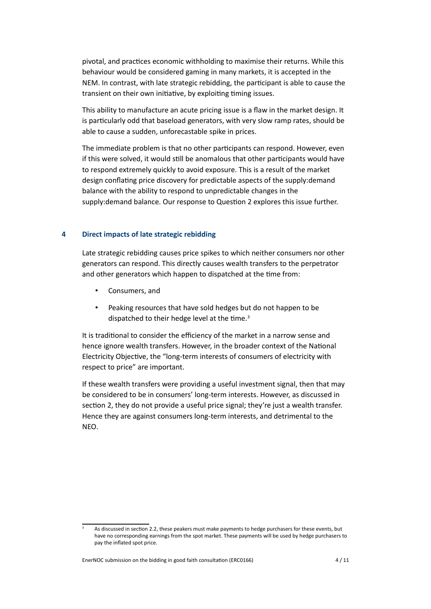pivotal, and practices economic withholding to maximise their returns. While this behaviour would be considered gaming in many markets, it is accepted in the NEM. In contrast, with late strategic rebidding, the partcipant is able to cause the transient on their own initiative, by exploiting timing issues.

This ability to manufacture an acute pricing issue is a faw in the market design. It is particularly odd that baseload generators, with very slow ramp rates, should be able to cause a sudden, unforecastable spike in prices.

The immediate problem is that no other partcipants can respond. However, even if this were solved, it would still be anomalous that other participants would have to respond extremely quickly to avoid exposure. This is a result of the market design conflating price discovery for predictable aspects of the supply: demand balance with the ability to respond to unpredictable changes in the supply: demand balance. Our response to Question 2 explores this issue further.

### **4 Direct impacts of late strategic rebidding**

Late strategic rebidding causes price spikes to which neither consumers nor other generators can respond. This directly causes wealth transfers to the perpetrator and other generators which happen to dispatched at the time from:

- Consumers, and
- Peaking resources that have sold hedges but do not happen to be dispatched to their hedge level at the time.<sup>3</sup>

It is traditional to consider the efficiency of the market in a narrow sense and hence ignore wealth transfers. However, in the broader context of the National Electricity Objectve, the "long-term interests of consumers of electricity with respect to price" are important.

If these wealth transfers were providing a useful investment signal, then that may be considered to be in consumers' long-term interests. However, as discussed in section [2,](#page-1-2) they do not provide a useful price signal; they're just a wealth transfer. Hence they are against consumers long-term interests, and detrimental to the NEO.

<span id="page-3-0"></span>As discussed in section [2.2,](#page-2-1) these peakers must make payments to hedge purchasers for these events, but have no corresponding earnings from the spot market. These payments will be used by hedge purchasers to pay the infated spot price.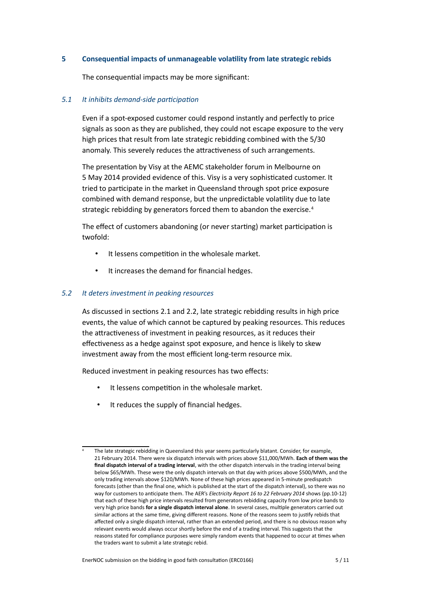# **5 Consequental impacts of unmanageable volatlity from late strategic rebids**

The consequential impacts may be more significant:

### *5.1 It inhibits demand-side partcipaton*

Even if a spot-exposed customer could respond instantly and perfectly to price signals as soon as they are published, they could not escape exposure to the very high prices that result from late strategic rebidding combined with the 5/30 anomaly. This severely reduces the attractiveness of such arrangements.

The presentation by Visy at the AEMC stakeholder forum in Melbourne on 5 May 2014 provided evidence of this. Visy is a very sophistcated customer. It tried to participate in the market in Queensland through spot price exposure combined with demand response, but the unpredictable volatility due to late strategic rebidding by generators forced them to abandon the exercise.<sup>4</sup>

The effect of customers abandoning (or never starting) market participation is twofold:

- It lessens competition in the wholesale market.
- It increases the demand for fnancial hedges.

### *5.2 It deters investment in peaking resources*

As discussed in sections [2.1](#page-1-1) and [2.2,](#page-2-1) late strategic rebidding results in high price events, the value of which cannot be captured by peaking resources. This reduces the attractiveness of investment in peaking resources, as it reduces their effectiveness as a hedge against spot exposure, and hence is likely to skew investment away from the most efficient long-term resource mix.

Reduced investment in peaking resources has two efects:

- It lessens competition in the wholesale market.
- It reduces the supply of fnancial hedges.

<span id="page-4-0"></span>The late strategic rebidding in Queensland this year seems particularly blatant. Consider, for example, 21 February 2014. There were six dispatch intervals with prices above \$11,000/MWh. **Each of them was the fnal dispatch interval of a trading interval**, with the other dispatch intervals in the trading interval being below \$65/MWh. These were the only dispatch intervals on that day with prices above \$500/MWh, and the only trading intervals above \$120/MWh. None of these high prices appeared in 5-minute predispatch forecasts (other than the fnal one, which is published at the start of the dispatch interval), so there was no way for customers to antcipate them. The AER's *Electricity Report 16 to 22 February 2014* shows (pp.10-12) that each of these high price intervals resulted from generators rebidding capacity from low price bands to very high price bands **for a single dispatch interval alone**. In several cases, multple generators carried out similar actions at the same time, giving different reasons. None of the reasons seem to justify rebids that afected only a single dispatch interval, rather than an extended period, and there is no obvious reason why relevant events would always occur shortly before the end of a trading interval. This suggests that the reasons stated for compliance purposes were simply random events that happened to occur at tmes when the traders want to submit a late strategic rebid.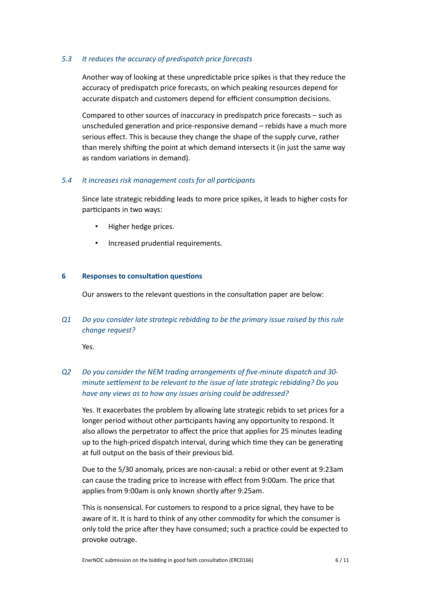# *5.3 It reduces the accuracy of predispatch price forecasts*

Another way of looking at these unpredictable price spikes is that they reduce the accuracy of predispatch price forecasts, on which peaking resources depend for accurate dispatch and customers depend for efficient consumption decisions.

Compared to other sources of inaccuracy in predispatch price forecasts – such as unscheduled generation and price-responsive demand – rebids have a much more serious effect. This is because they change the shape of the supply curve, rather than merely shifing the point at which demand intersects it (in just the same way as random variations in demand).

### *5.4 It increases risk management costs for all partcipants*

Since late strategic rebidding leads to more price spikes, it leads to higher costs for participants in two ways:

- Higher hedge prices.
- Increased prudential requirements.

### **6 Responses to consultation questions**

Our answers to the relevant questions in the consultation paper are below:

*Q1 Do you consider late strategic rebidding to be the primary issue raised by this rule change request?*

Yes.

# *Q2 Do you consider the NEM trading arrangements of fve-minute dispatch and 30 minute setlement to be relevant to the issue of late strategic rebidding? Do you have any views as to how any issues arising could be addressed?*

Yes. It exacerbates the problem by allowing late strategic rebids to set prices for a longer period without other participants having any opportunity to respond. It also allows the perpetrator to affect the price that applies for 25 minutes leading up to the high-priced dispatch interval, during which time they can be generating at full output on the basis of their previous bid.

Due to the 5/30 anomaly, prices are non-causal: a rebid or other event at 9:23am can cause the trading price to increase with efect from 9:00am. The price that applies from 9:00am is only known shortly after 9:25am.

This is nonsensical. For customers to respond to a price signal, they have to be aware of it. It is hard to think of any other commodity for which the consumer is only told the price after they have consumed; such a practice could be expected to provoke outrage.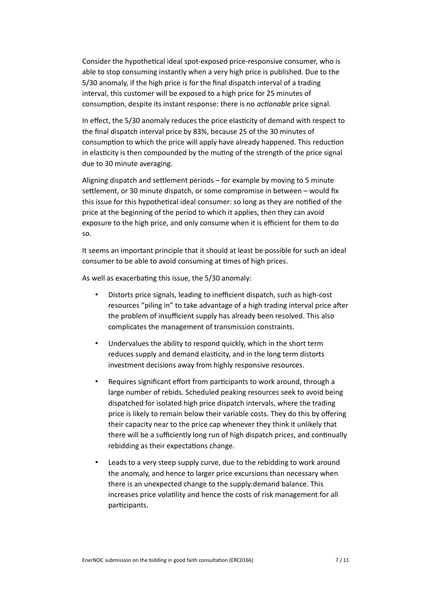Consider the hypothetical ideal spot-exposed price-responsive consumer, who is able to stop consuming instantly when a very high price is published. Due to the 5/30 anomaly, if the high price is for the final dispatch interval of a trading interval, this customer will be exposed to a high price for 25 minutes of consumption, despite its instant response: there is no *actionable* price signal.

In effect, the 5/30 anomaly reduces the price elasticity of demand with respect to the final dispatch interval price by 83%, because 25 of the 30 minutes of consumption to which the price will apply have already happened. This reduction in elasticity is then compounded by the muting of the strength of the price signal due to 30 minute averaging.

Aligning dispatch and setlement periods – for example by moving to 5 minute settlement, or 30 minute dispatch, or some compromise in between - would fix this issue for this hypothetical ideal consumer: so long as they are notified of the price at the beginning of the period to which it applies, then they can avoid exposure to the high price, and only consume when it is efficient for them to do so.

It seems an important principle that it should at least be possible for such an ideal consumer to be able to avoid consuming at tmes of high prices.

As well as exacerbating this issue, the 5/30 anomaly:

- Distorts price signals, leading to inefficient dispatch, such as high-cost resources "piling in" to take advantage of a high trading interval price afer the problem of insufficient supply has already been resolved. This also complicates the management of transmission constraints.
- Undervalues the ability to respond quickly, which in the short term reduces supply and demand elasticity, and in the long term distorts investment decisions away from highly responsive resources.
- Requires significant effort from participants to work around, through a large number of rebids. Scheduled peaking resources seek to avoid being dispatched for isolated high price dispatch intervals, where the trading price is likely to remain below their variable costs. They do this by ofering their capacity near to the price cap whenever they think it unlikely that there will be a sufficiently long run of high dispatch prices, and continually rebidding as their expectations change.
- Leads to a very steep supply curve, due to the rebidding to work around the anomaly, and hence to larger price excursions than necessary when there is an unexpected change to the supply:demand balance. This increases price volatility and hence the costs of risk management for all participants.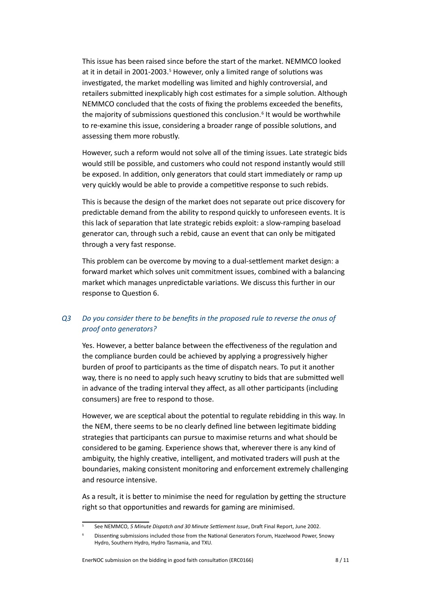This issue has been raised since before the start of the market. NEMMCO looked at it in detail in 2001-2003.<sup>5</sup> However, only a limited range of solutions was investgated, the market modelling was limited and highly controversial, and retailers submited inexplicably high cost estmates for a simple soluton. Although NEMMCO concluded that the costs of fxing the problems exceeded the benefts, the majority of submissions questioned this conclusion.<sup>6</sup> It would be worthwhile to re-examine this issue, considering a broader range of possible solutons, and assessing them more robustly.

However, such a reform would not solve all of the timing issues. Late strategic bids would still be possible, and customers who could not respond instantly would still be exposed. In additon, only generators that could start immediately or ramp up very quickly would be able to provide a competitive response to such rebids.

This is because the design of the market does not separate out price discovery for predictable demand from the ability to respond quickly to unforeseen events. It is this lack of separation that late strategic rebids exploit: a slow-ramping baseload generator can, through such a rebid, cause an event that can only be mitgated through a very fast response.

This problem can be overcome by moving to a dual-setlement market design: a forward market which solves unit commitment issues, combined with a balancing market which manages unpredictable variatons. We discuss this further in our response to Question 6.

# *Q3 Do you consider there to be benefts in the proposed rule to reverse the onus of proof onto generators?*

Yes. However, a better balance between the effectiveness of the regulation and the compliance burden could be achieved by applying a progressively higher burden of proof to partcipants as the tme of dispatch nears. To put it another way, there is no need to apply such heavy scrutny to bids that are submited well in advance of the trading interval they affect, as all other participants (including consumers) are free to respond to those.

However, we are sceptical about the potential to regulate rebidding in this way. In the NEM, there seems to be no clearly defned line between legitmate bidding strategies that participants can pursue to maximise returns and what should be considered to be gaming. Experience shows that, wherever there is any kind of ambiguity, the highly creative, intelligent, and motivated traders will push at the boundaries, making consistent monitoring and enforcement extremely challenging and resource intensive.

As a result, it is better to minimise the need for regulation by getting the structure right so that opportunities and rewards for gaming are minimised.

#### EnerNOC submission on the bidding in good faith consultaton (ERC0166) 8 / 11

<span id="page-7-0"></span><sup>5</sup> See NEMMCO, *5 Minute Dispatch and 30 Minute Setlement Issue*, Draf Final Report, June 2002.

<span id="page-7-1"></span><sup>6</sup> Dissentng submissions included those from the Natonal Generators Forum, Hazelwood Power, Snowy Hydro, Southern Hydro, Hydro Tasmania, and TXU.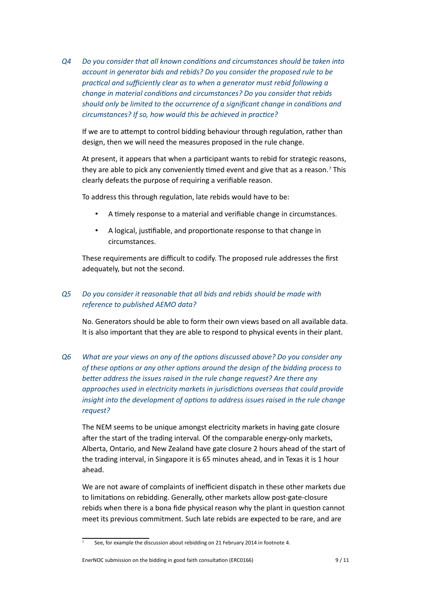*Q4 Do you consider that all known conditons and circumstances should be taken into account in generator bids and rebids? Do you consider the proposed rule to be*  practical and sufficiently clear as to when a generator must rebid following a *change in material conditons and circumstances? Do you consider that rebids should only be limited to the occurrence of a signifcant change in conditons and*  circumstances? If so, how would this be achieved in practice?

If we are to attempt to control bidding behaviour through regulation, rather than design, then we will need the measures proposed in the rule change.

At present, it appears that when a partcipant wants to rebid for strategic reasons, they are able to pick any conveniently timed event and give that as a reason.<sup>7</sup> This clearly defeats the purpose of requiring a verifable reason.

To address this through regulation, late rebids would have to be:

- A tmely response to a material and verifable change in circumstances.
- A logical, justifiable, and proportionate response to that change in circumstances.

These requirements are difficult to codify. The proposed rule addresses the first adequately, but not the second.

# *Q5 Do you consider it reasonable that all bids and rebids should be made with reference to published AEMO data?*

No. Generators should be able to form their own views based on all available data. It is also important that they are able to respond to physical events in their plant.

*Q6 What are your views on any of the optons discussed above? Do you consider any*  of these options or any other options around the design of the bidding process to *beter address the issues raised in the rule change request? Are there any approaches used in electricity markets in jurisdictons overseas that could provide insight into the development of options to address issues raised in the rule change request?*

The NEM seems to be unique amongst electricity markets in having gate closure afer the start of the trading interval. Of the comparable energy-only markets, Alberta, Ontario, and New Zealand have gate closure 2 hours ahead of the start of the trading interval, in Singapore it is 65 minutes ahead, and in Texas it is 1 hour ahead.

We are not aware of complaints of inefficient dispatch in these other markets due to limitations on rebidding. Generally, other markets allow post-gate-closure rebids when there is a bona fide physical reason why the plant in question cannot meet its previous commitment. Such late rebids are expected to be rare, and are

#### EnerNOC submission on the bidding in good faith consultaton (ERC0166) 9 / 11

<span id="page-8-0"></span> $\frac{7}{10}$  See, for example the discussion about rebidding on 21 February 2014 in footnote [4.](#page-4-0)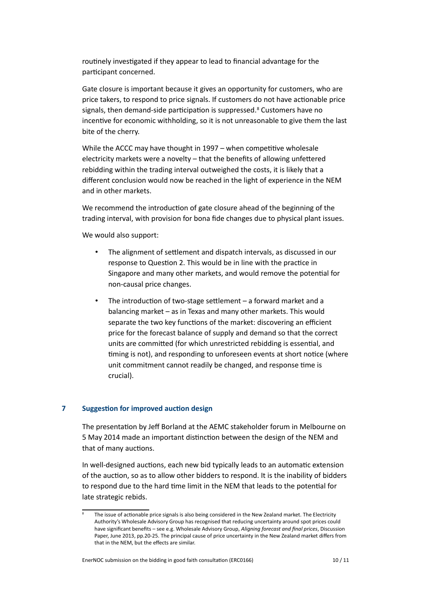routinely investigated if they appear to lead to financial advantage for the participant concerned.

Gate closure is important because it gives an opportunity for customers, who are price takers, to respond to price signals. If customers do not have actonable price signals, then demand-side participation is suppressed.<sup>8</sup> Customers have no incentive for economic withholding, so it is not unreasonable to give them the last bite of the cherry.

While the ACCC may have thought in  $1997 -$  when competitive wholesale electricity markets were a novelty – that the benefits of allowing unfettered rebidding within the trading interval outweighed the costs, it is likely that a diferent conclusion would now be reached in the light of experience in the NEM and in other markets.

We recommend the introduction of gate closure ahead of the beginning of the trading interval, with provision for bona fde changes due to physical plant issues.

We would also support:

- The alignment of settlement and dispatch intervals, as discussed in our response to Question 2. This would be in line with the practice in Singapore and many other markets, and would remove the potental for non-causal price changes.
- The introduction of two-stage settlement  $-$  a forward market and a balancing market – as in Texas and many other markets. This would separate the two key functions of the market: discovering an efficient price for the forecast balance of supply and demand so that the correct units are commited (for which unrestricted rebidding is essental, and timing is not), and responding to unforeseen events at short notice (where unit commitment cannot readily be changed, and response tme is crucial).

#### **7 Suggestion for improved auction design**

The presentation by Jeff Borland at the AEMC stakeholder forum in Melbourne on 5 May 2014 made an important distinction between the design of the NEM and that of many auctions.

In well-designed auctions, each new bid typically leads to an automatic extension of the auction, so as to allow other bidders to respond. It is the inability of bidders to respond due to the hard time limit in the NEM that leads to the potential for late strategic rebids.

<span id="page-9-0"></span>The issue of actionable price signals is also being considered in the New Zealand market. The Electricity Authority's Wholesale Advisory Group has recognised that reducing uncertainty around spot prices could have signifcant benefts – see e.g. Wholesale Advisory Group, *Aligning forecast and fnal prices*, Discussion Paper, June 2013, pp.20-25. The principal cause of price uncertainty in the New Zealand market difers from that in the NEM, but the effects are similar.